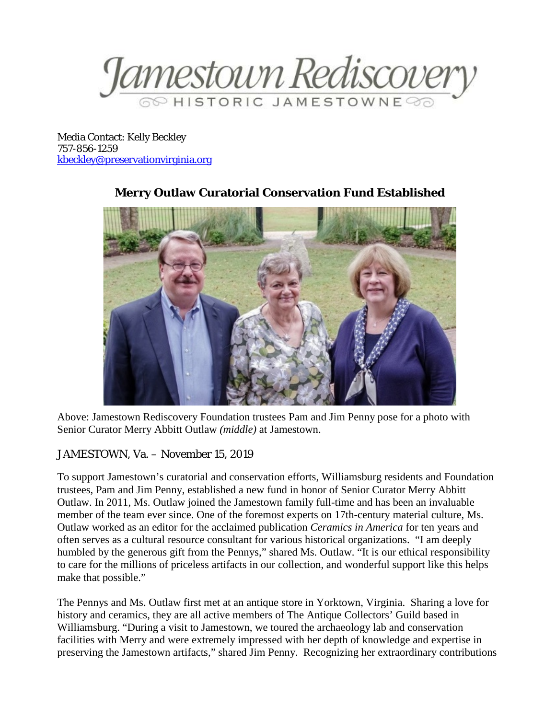Jamestown Rediscover

Media Contact: Kelly Beckley 757-856-1259 [kbeckley@preservationvirginia.org](mailto:kbeckley@preservationvirginia.org)



## **Merry Outlaw Curatorial Conservation Fund Established**

Above: Jamestown Rediscovery Foundation trustees Pam and Jim Penny pose for a photo with Senior Curator Merry Abbitt Outlaw *(middle)* at Jamestown.

## JAMESTOWN, Va. – November 15, 2019

To support Jamestown's curatorial and conservation efforts, Williamsburg residents and Foundation trustees, Pam and Jim Penny, established a new fund in honor of Senior Curator Merry Abbitt Outlaw. In 2011, Ms. Outlaw joined the Jamestown family full-time and has been an invaluable member of the team ever since. One of the foremost experts on 17th-century material culture, Ms. Outlaw worked as an editor for the acclaimed publication *Ceramics in America* for ten years and often serves as a cultural resource consultant for various historical organizations. "I am deeply humbled by the generous gift from the Pennys," shared Ms. Outlaw. "It is our ethical responsibility to care for the millions of priceless artifacts in our collection, and wonderful support like this helps make that possible."

The Pennys and Ms. Outlaw first met at an antique store in Yorktown, Virginia. Sharing a love for history and ceramics, they are all active members of The Antique Collectors' Guild based in Williamsburg. "During a visit to Jamestown, we toured the archaeology lab and conservation facilities with Merry and were extremely impressed with her depth of knowledge and expertise in preserving the Jamestown artifacts," shared Jim Penny. Recognizing her extraordinary contributions